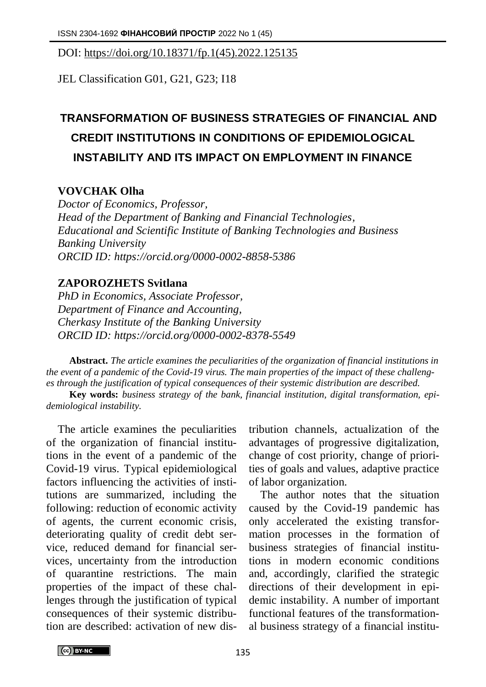DOI: https://doi.org/10.18371/fp.1(45).2022.125135

JEL Classіfіcatіon G01, G21, G23; І18

## **TRANSFORMATION OF BUSINESS STRATEGIES OF FINANCIAL AND CREDIT INSTITUTIONS IN CONDITIONS OF EPIDEMIOLOGICAL INSTABILITY AND ITS IMPACT ON EMPLOYMENT IN FINANCE**

## **VOVCHAK Olha**

*Doctor of Economics, Professor, Head of the Department of Banking and Financial Technologies, Educational and Scientific Institute of Banking Technologies and Business Banking University ORCID ID: https://orcid.org/0000-0002-8858-5386*

## **ZAPOROZHETS Svitlana**

*PhD in Economics, Associate Professor, Department of Finance and Accounting, Cherkasy Institute of the Banking University ORCID ID: https://orcid.org[/0000-0002-8378-5549](https://orcid.org/0000-0002-8378-5549)*

**Abstract.** *The article examines the peculiarities of the organization of financial institutions in the event of a pandemic of the Covid-19 virus. The main properties of the impact of these challenges through the justification of typical consequences of their systemic distribution are described.*

**Key words:** *business strategy of the bank, financial institution, digital transformation, epidemiological instability.*

The article examines the peculiarities of the organization of financial institutions in the event of a pandemic of the Covid-19 virus. Typical epidemiological factors influencing the activities of institutions are summarized, including the following: reduction of economic activity of agents, the current economic crisis, deteriorating quality of credit debt service, reduced demand for financial services, uncertainty from the introduction of quarantine restrictions. The main properties of the impact of these challenges through the justification of typical consequences of their systemic distribution are described: activation of new distribution channels, actualization of the advantages of progressive digitalization, change of cost priority, change of priorities of goals and values, adaptive practice of labor organization.

The author notes that the situation caused by the Covid-19 pandemic has only accelerated the existing transformation processes in the formation of business strategies of financial institutions in modern economic conditions and, accordingly, clarified the strategic directions of their development in epidemic instability. A number of important functional features of the transformational business strategy of a financial institu-

CC BY-NC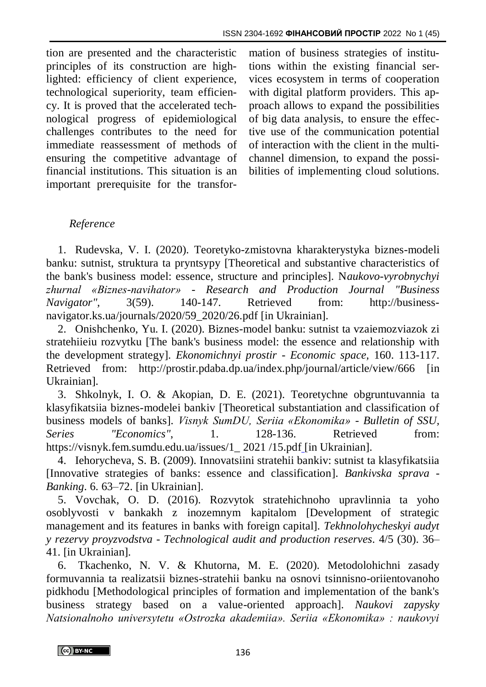tion are presented and the characteristic principles of its construction are highlighted: efficiency of client experience, technological superiority, team efficiency. It is proved that the accelerated technological progress of epidemiological challenges contributes to the need for immediate reassessment of methods of ensuring the competitive advantage of financial institutions. This situation is an important prerequisite for the transfor-

mation of business strategies of institutions within the existing financial services ecosystem in terms of cooperation with digital platform providers. This approach allows to expand the possibilities of big data analysis, to ensure the effective use of the communication potential of interaction with the client in the multichannel dimension, to expand the possibilities of implementing cloud solutions.

## *Reference*

1. Rudevska, V. I. (2020). Teoretyko-zmistovna kharakterystyka biznes-modeli banku: sutnist, struktura ta pryntsypy [Theoretical and substantive characteristics of the bank's business model: essence, structure and principles]. N*aukovo-vyrobnychyi zhurnal «Biznes-navihator» - Research and Production Journal "Business Navigator",* 3(59). 140-147. Retrieved from: http://businessnavigator.ks.ua/journals/2020/59\_2020/26.pdf [in Ukrainian].

2. Onishchenko, Yu. I. (2020). Biznes-model banku: sutnist ta vzaiemozviazok zi stratehiieiu rozvytku [The bank's business model: the essence and relationship with the development strategy]. *Ekonomichnyi prostir - Economic space,* 160. 113-117. Retrieved from: http://prostir.pdaba.dp.ua/index.php/journal/article/view/666 [in Ukrainian].

3. Shkolnyk, I. O. & Akopian, D. E. (2021). Teoretychne obgruntuvannia ta klasyfikatsiia biznes-modelei bankiv [Theoretical substantiation and classification of business models of banks]. *Visnyk SumDU, Seriia «Ekonomika» - Bulletin of SSU, Series "Economics"*, 1. 128-136. Retrieved from: https://visnyk.fem.sumdu.edu.ua/issues/1\_ 2021 /15.pdf [in Ukrainian].

4. Iehorycheva, S. B. (2009). Innovatsiini stratehii bankiv: sutnist ta klasyfikatsiia [Innovative strategies of banks: essence and classification]. *Bankivska sprava - Banking*. 6. 63–72. [in Ukrainian].

5. Vovchak, O. D. (2016). Rozvytok stratehichnoho upravlinnia ta yoho osoblyvosti v bankakh z inozemnym kapitalom [Development of strategic management and its features in banks with foreign capital]. *Tekhnolohycheskyi audyt y rezervy proyzvodstva - Technological audit and production reserves*. 4/5 (30). 36– 41. [in Ukrainian].

6. Tkachenko, N. V. & Khutorna, M. E. (2020). Metodolohichni zasady formuvannia ta realizatsii biznes-stratehii banku na osnovi tsinnisno-oriientovanoho pidkhodu [Methodological principles of formation and implementation of the bank's business strategy based on a value-oriented approach]. *Naukovi zapysky Natsionalnoho universytetu «Ostrozka akademiia». Seriia «Ekonomika» : naukovyi* 

CC BY-NC